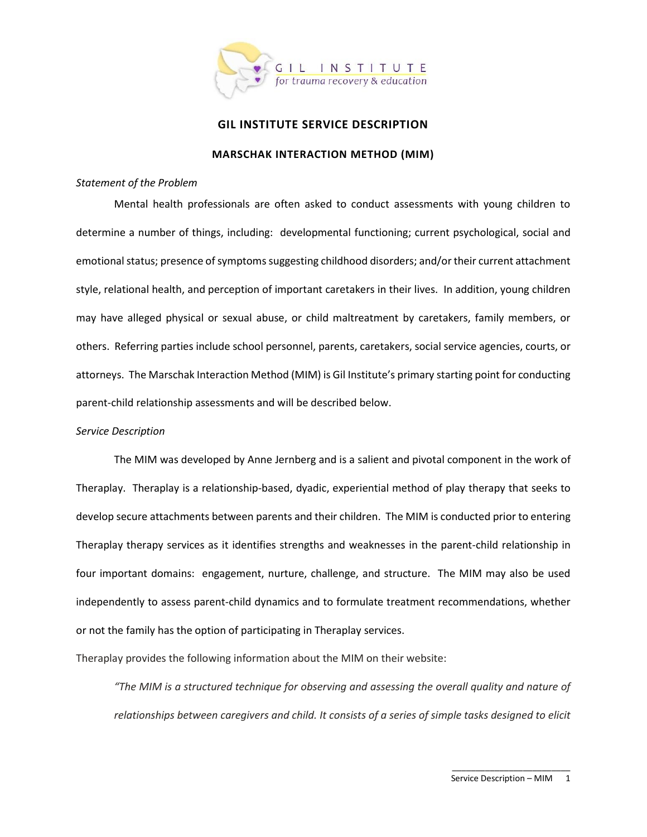

# **GIL INSTITUTE SERVICE DESCRIPTION**

#### **MARSCHAK INTERACTION METHOD (MIM)**

#### *Statement of the Problem*

Mental health professionals are often asked to conduct assessments with young children to determine a number of things, including: developmental functioning; current psychological, social and emotional status; presence of symptoms suggesting childhood disorders; and/or their current attachment style, relational health, and perception of important caretakers in their lives. In addition, young children may have alleged physical or sexual abuse, or child maltreatment by caretakers, family members, or others. Referring parties include school personnel, parents, caretakers, social service agencies, courts, or attorneys. The Marschak Interaction Method (MIM) is Gil Institute's primary starting point for conducting parent-child relationship assessments and will be described below.

#### *Service Description*

The MIM was developed by Anne Jernberg and is a salient and pivotal component in the work of Theraplay. Theraplay is a relationship-based, dyadic, experiential method of play therapy that seeks to develop secure attachments between parents and their children. The MIM is conducted prior to entering Theraplay therapy services as it identifies strengths and weaknesses in the parent-child relationship in four important domains: engagement, nurture, challenge, and structure. The MIM may also be used independently to assess parent-child dynamics and to formulate treatment recommendations, whether or not the family has the option of participating in Theraplay services.

Theraplay provides the following information about the MIM on their website:

*"The MIM is a structured technique for observing and assessing the overall quality and nature of relationships between caregivers and child. It consists of a series of simple tasks designed to elicit*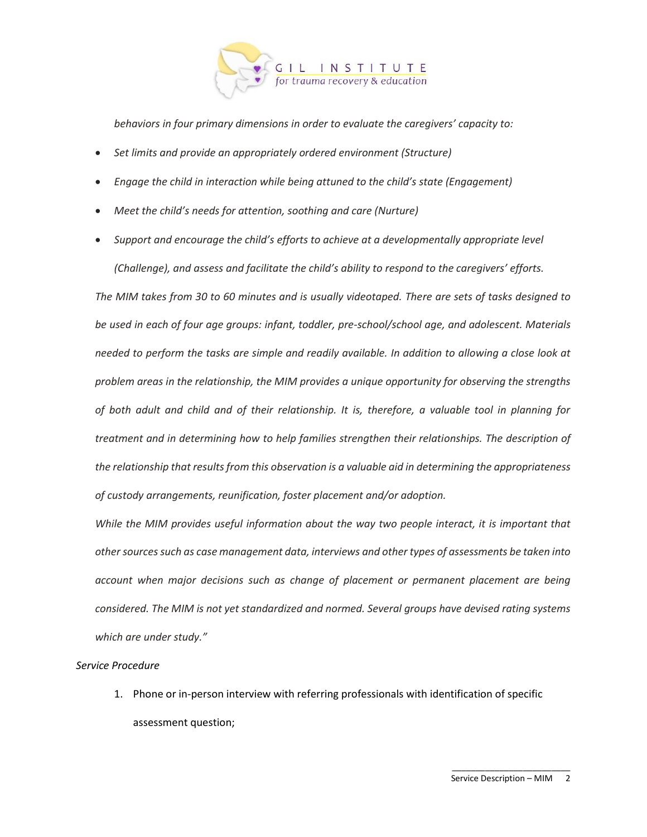

*behaviors in four primary dimensions in order to evaluate the caregivers' capacity to:*

- *Set limits and provide an appropriately ordered environment (Structure)*
- *Engage the child in interaction while being attuned to the child's state (Engagement)*
- *Meet the child's needs for attention, soothing and care (Nurture)*
- *Support and encourage the child's efforts to achieve at a developmentally appropriate level*

*(Challenge), and assess and facilitate the child's ability to respond to the caregivers' efforts.*

*The MIM takes from 30 to 60 minutes and is usually videotaped. There are sets of tasks designed to be used in each of four age groups: infant, toddler, pre-school/school age, and adolescent. Materials needed to perform the tasks are simple and readily available. In addition to allowing a close look at problem areas in the relationship, the MIM provides a unique opportunity for observing the strengths of both adult and child and of their relationship. It is, therefore, a valuable tool in planning for treatment and in determining how to help families strengthen their relationships. The description of the relationship that results from this observation is a valuable aid in determining the appropriateness of custody arrangements, reunification, foster placement and/or adoption.*

*While the MIM provides useful information about the way two people interact, it is important that other sources such as case management data, interviews and other types of assessments be taken into account when major decisions such as change of placement or permanent placement are being considered. The MIM is not yet standardized and normed. Several groups have devised rating systems which are under study."* 

# *Service Procedure*

1. Phone or in-person interview with referring professionals with identification of specific assessment question;